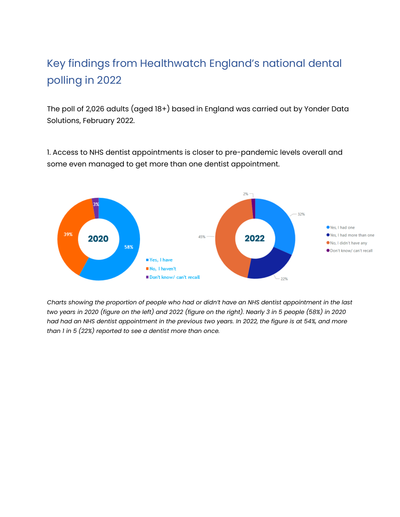## Key findings from Healthwatch England's national dental polling in 2022

The poll of 2,026 adults (aged 18+) based in England was carried out by Yonder Data Solutions, February 2022.

1. Access to NHS dentist appointments is closer to pre-pandemic levels overall and some even managed to get more than one dentist appointment.



*Charts showing the proportion of people who had or didn't have an NHS dentist appointment in the last two years in 2020 (figure on the left) and 2022 (figure on the right). Nearly 3 in 5 people (58%) in 2020 had had an NHS dentist appointment in the previous two years. In 2022, the figure is at 54%, and more than 1 in 5 (22%) reported to see a dentist more than once.*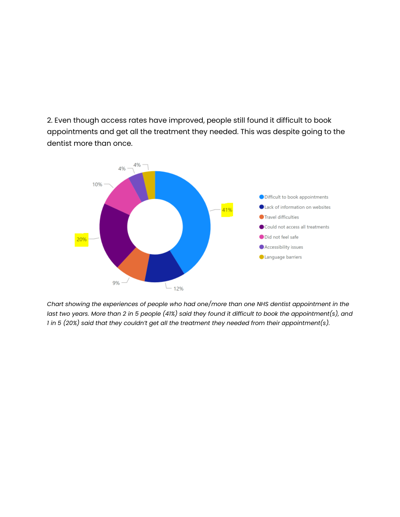2. Even though access rates have improved, people still found it difficult to book appointments and get all the treatment they needed. This was despite going to the dentist more than once.



*Chart showing the experiences of people who had one/more than one NHS dentist appointment in the last two years. More than 2 in 5 people (41%) said they found it difficult to book the appointment(s), and 1 in 5 (20%) said that they couldn't get all the treatment they needed from their appointment(s).*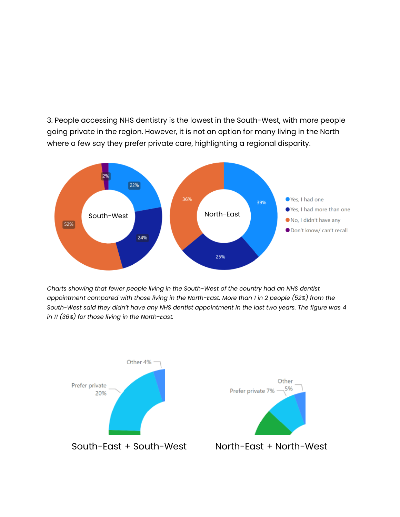3. People accessing NHS dentistry is the lowest in the South-West, with more people going private in the region. However, it is not an option for many living in the North where a few say they prefer private care, highlighting a regional disparity.



*Charts showing that fewer people living in the South-West of the country had an NHS dentist appointment compared with those living in the North-East. More than 1 in 2 people (52%) from the South-West said they didn't have any NHS dentist appointment in the last two years. The figure was 4 in 11 (36%) for those living in the North-East.*

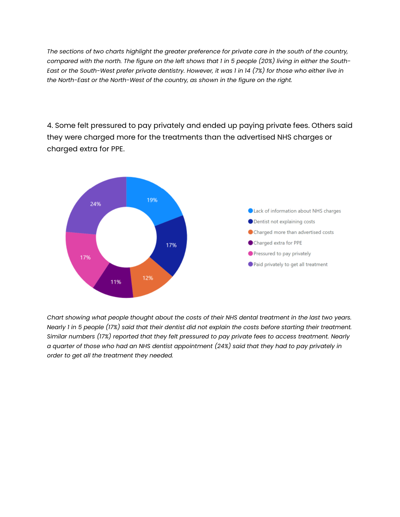*The sections of two charts highlight the greater preference for private care in the south of the country, compared with the north. The figure on the left shows that 1 in 5 people (20%) living in either the South-East or the South-West prefer private dentistry. However, it was 1 in 14 (7%) for those who either live in the North-East or the North-West of the country, as shown in the figure on the right.* 

4. Some felt pressured to pay privately and ended up paying private fees. Others said they were charged more for the treatments than the advertised NHS charges or charged extra for PPE.



*Chart showing what people thought about the costs of their NHS dental treatment in the last two years. Nearly 1 in 5 people (17%) said that their dentist did not explain the costs before starting their treatment. Similar numbers (17%) reported that they felt pressured to pay private fees to access treatment. Nearly a quarter of those who had an NHS dentist appointment (24%) said that they had to pay privately in order to get all the treatment they needed.*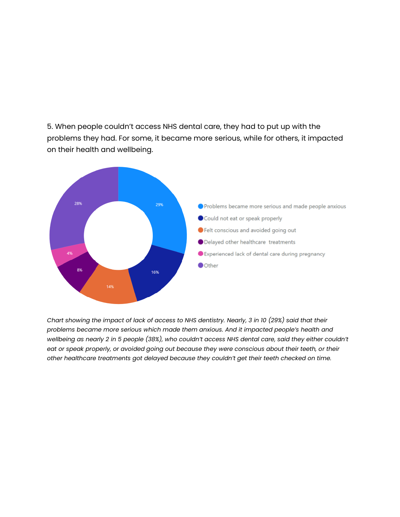5. When people couldn't access NHS dental care, they had to put up with the problems they had. For some, it became more serious, while for others, it impacted on their health and wellbeing.



*Chart showing the impact of lack of access to NHS dentistry. Nearly, 3 in 10 (29%) said that their problems became more serious which made them anxious. And it impacted people's health and wellbeing as nearly 2 in 5 people (38%), who couldn't access NHS dental care, said they either couldn't eat or speak properly, or avoided going out because they were conscious about their teeth, or their other healthcare treatments got delayed because they couldn't get their teeth checked on time.*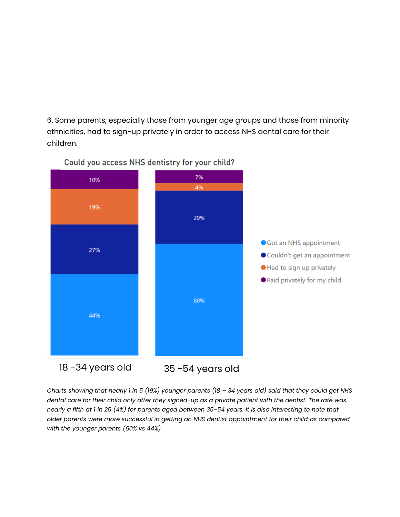6. Some parents, especially those from younger age groups and those from minority ethnicities, had to sign-up privately in order to access NHS dental care for their children.



Could you access NHS dentistry for your child?

*Charts showing that nearly 1 in 5 (19%) younger parents (18 – 34 years old) said that they could get NHS dental care for their child only after they signed-up as a private patient with the dentist. The rate was nearly a fifth at 1 in 25 (4%) for parents aged between 35-54 years. It is also interesting to note that older parents were more successful in getting an NHS dentist appointment for their child as compared with the younger parents (60% vs 44%).*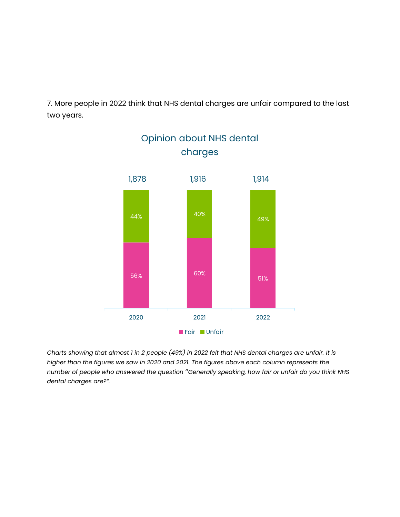7. More people in 2022 think that NHS dental charges are unfair compared to the last two years.

Opinion about NHS dental



*Charts showing that almost 1 in 2 people (49%) in 2022 felt that NHS dental charges are unfair. It is higher than the figures we saw in 2020 and 2021. The figures above each column represents the number of people who answered the question* "*Generally speaking, how fair or unfair do you think NHS dental charges are?".*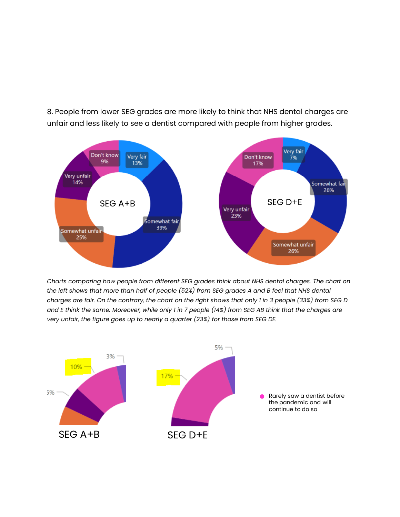8. People from lower SEG grades are more likely to think that NHS dental charges are unfair and less likely to see a dentist compared with people from higher grades.



*Charts comparing how people from different SEG grades think about NHS dental charges. The chart on the left shows that more than half of people (52%) from SEG grades A and B feel that NHS dental charges are fair. On the contrary, the chart on the right shows that only 1 in 3 people (33%) from SEG D and E think the same. Moreover, while only 1 in 7 people (14%) from SEG AB think that the charges are very unfair, the figure goes up to nearly a quarter (23%) for those from SEG DE.*